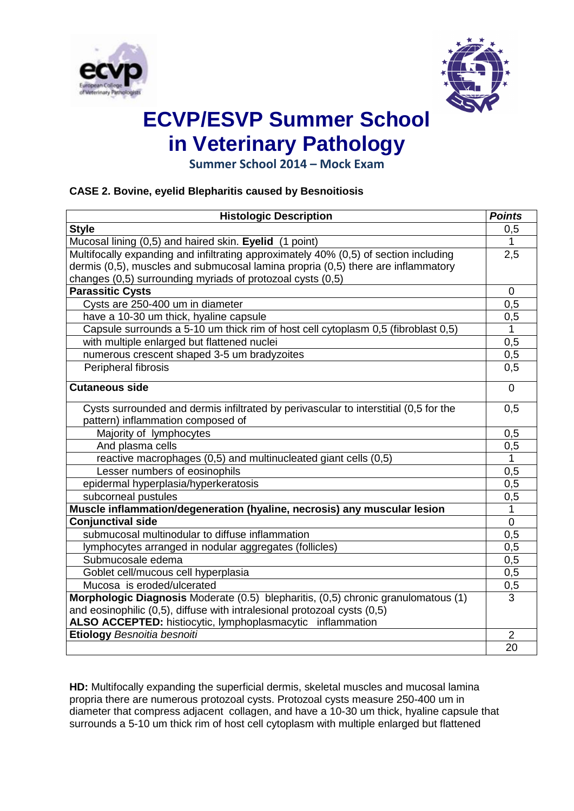



**Summer School 2014 – Mock Exam**

## **CASE 2. Bovine, eyelid Blepharitis caused by Besnoitiosis**

| <b>Histologic Description</b>                                                        | <b>Points</b>  |
|--------------------------------------------------------------------------------------|----------------|
| <b>Style</b>                                                                         | 0,5            |
| Mucosal lining (0,5) and haired skin. Eyelid (1 point)                               | $\mathbf{1}$   |
| Multifocally expanding and infiltrating approximately 40% (0,5) of section including | 2,5            |
| dermis (0,5), muscles and submucosal lamina propria (0,5) there are inflammatory     |                |
| changes (0,5) surrounding myriads of protozoal cysts (0,5)                           |                |
| <b>Parassitic Cysts</b>                                                              | $\mathbf 0$    |
| Cysts are 250-400 um in diameter                                                     | 0,5            |
| have a 10-30 um thick, hyaline capsule                                               | 0,5            |
| Capsule surrounds a 5-10 um thick rim of host cell cytoplasm 0,5 (fibroblast 0,5)    | 1              |
| with multiple enlarged but flattened nuclei                                          | 0,5            |
| numerous crescent shaped 3-5 um bradyzoites                                          | 0,5            |
| Peripheral fibrosis                                                                  | 0,5            |
| <b>Cutaneous side</b>                                                                | $\Omega$       |
| Cysts surrounded and dermis infiltrated by perivascular to interstitial (0,5 for the | 0,5            |
| pattern) inflammation composed of                                                    |                |
| Majority of lymphocytes                                                              | 0,5            |
| And plasma cells                                                                     | 0,5            |
| reactive macrophages (0,5) and multinucleated giant cells (0,5)                      | $\mathbf{1}$   |
| Lesser numbers of eosinophils                                                        | 0,5            |
| epidermal hyperplasia/hyperkeratosis                                                 | 0,5            |
| subcorneal pustules                                                                  | 0,5            |
| Muscle inflammation/degeneration (hyaline, necrosis) any muscular lesion             | $\mathbf{1}$   |
| <b>Conjunctival side</b>                                                             | $\mathbf 0$    |
| submucosal multinodular to diffuse inflammation                                      | 0.5            |
| lymphocytes arranged in nodular aggregates (follicles)                               | 0.5            |
| Submucosale edema                                                                    | 0,5            |
| Goblet cell/mucous cell hyperplasia                                                  | 0,5            |
| Mucosa is eroded/ulcerated                                                           | 0,5            |
| Morphologic Diagnosis Moderate (0.5) blepharitis, (0,5) chronic granulomatous (1)    | 3              |
| and eosinophilic (0,5), diffuse with intralesional protozoal cysts (0,5)             |                |
| ALSO ACCEPTED: histiocytic, lymphoplasmacytic inflammation                           |                |
| Etiology Besnoitia besnoiti                                                          | $\overline{2}$ |
|                                                                                      | 20             |

**HD:** Multifocally expanding the superficial dermis, skeletal muscles and mucosal lamina propria there are numerous protozoal cysts. Protozoal cysts measure 250-400 um in diameter that compress adjacent collagen, and have a 10-30 um thick, hyaline capsule that surrounds a 5-10 um thick rim of host cell cytoplasm with multiple enlarged but flattened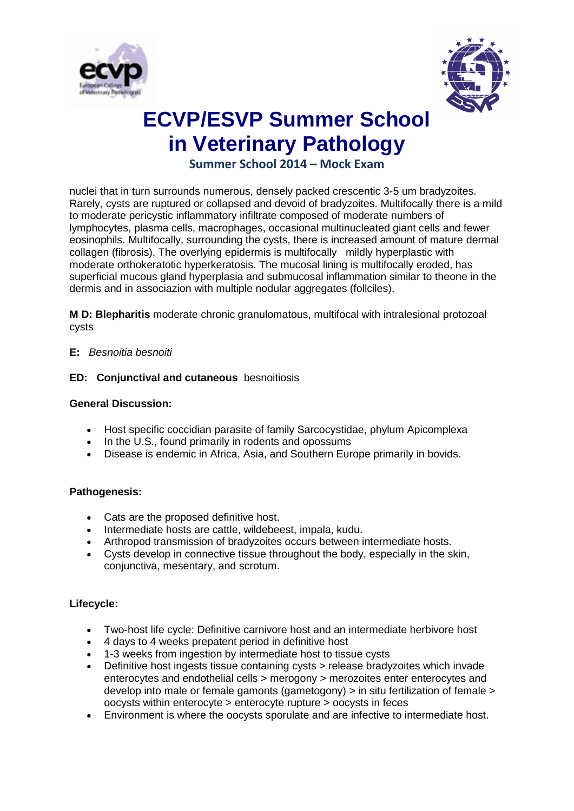



# **Summer School 2014 – Mock Exam**

nuclei that in turn surrounds numerous, densely packed crescentic 3-5 um bradyzoites. Rarely, cysts are ruptured or collapsed and devoid of bradyzoites. Multifocally there is a mild to moderate pericystic inflammatory infiltrate composed of moderate numbers of lymphocytes, plasma cells, macrophages, occasional multinucleated giant cells and fewer eosinophils. Multifocally, surrounding the cysts, there is increased amount of mature dermal collagen (fibrosis). The overlying epidermis is multifocally mildly hyperplastic with moderate orthokeratotic hyperkeratosis. The mucosal lining is multifocally eroded, has superficial mucous gland hyperplasia and submucosal inflammation similar to theone in the dermis and in associazion with multiple nodular aggregates (follciles).

**M D: Blepharitis** moderate chronic granulomatous, multifocal with intralesional protozoal cysts

### **E:** *Besnoitia besnoiti*

### **ED: Conjunctival and cutaneous** besnoitiosis

#### **General Discussion:**

- Host specific coccidian parasite of family Sarcocystidae, phylum Apicomplexa
- In the U.S., found primarily in rodents and opossums
- Disease is endemic in Africa, Asia, and Southern Europe primarily in bovids.

### **Pathogenesis:**

- Cats are the proposed definitive host.
- Intermediate hosts are cattle, wildebeest, impala, kudu.
- Arthropod transmission of bradyzoites occurs between intermediate hosts.
- Cysts develop in connective tissue throughout the body, especially in the skin, conjunctiva, mesentary, and scrotum.

### **Lifecycle:**

- Two-host life cycle: Definitive carnivore host and an intermediate herbivore host
- 4 days to 4 weeks prepatent period in definitive host
- 1-3 weeks from ingestion by intermediate host to tissue cysts
- Definitive host ingests tissue containing cysts > release bradyzoites which invade enterocytes and endothelial cells > merogony > merozoites enter enterocytes and develop into male or female gamonts (gametogony) > in situ fertilization of female > oocysts within enterocyte > enterocyte rupture > oocysts in feces
- Environment is where the oocysts sporulate and are infective to intermediate host.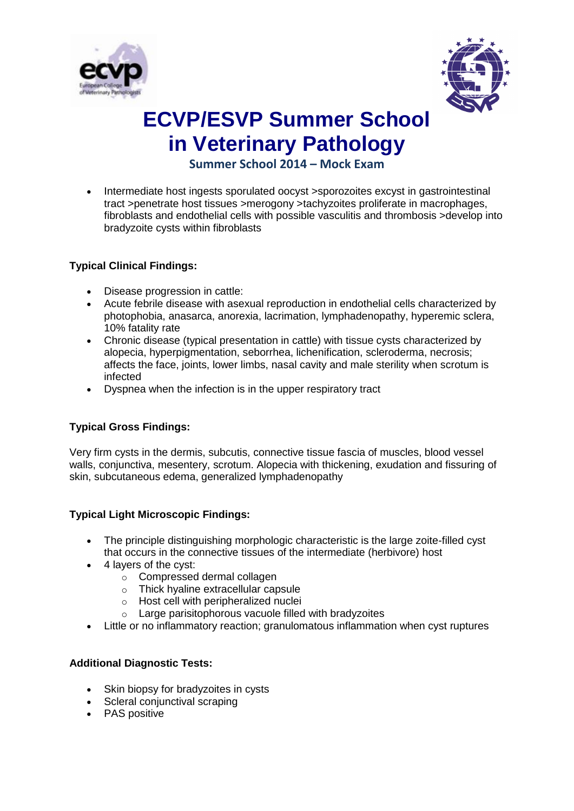



# **Summer School 2014 – Mock Exam**

 Intermediate host ingests sporulated oocyst >sporozoites excyst in gastrointestinal tract >penetrate host tissues >merogony >tachyzoites proliferate in macrophages, fibroblasts and endothelial cells with possible vasculitis and thrombosis >develop into bradyzoite cysts within fibroblasts

## **Typical Clinical Findings:**

- Disease progression in cattle:
- Acute febrile disease with asexual reproduction in endothelial cells characterized by photophobia, anasarca, anorexia, lacrimation, lymphadenopathy, hyperemic sclera, 10% fatality rate
- Chronic disease (typical presentation in cattle) with tissue cysts characterized by alopecia, hyperpigmentation, seborrhea, lichenification, scleroderma, necrosis; affects the face, joints, lower limbs, nasal cavity and male sterility when scrotum is infected
- Dyspnea when the infection is in the upper respiratory tract

## **Typical Gross Findings:**

Very firm cysts in the dermis, subcutis, connective tissue fascia of muscles, blood vessel walls, conjunctiva, mesentery, scrotum. Alopecia with thickening, exudation and fissuring of skin, subcutaneous edema, generalized lymphadenopathy

### **Typical Light Microscopic Findings:**

- The principle distinguishing morphologic characteristic is the large zoite-filled cyst that occurs in the connective tissues of the intermediate (herbivore) host
- 4 lavers of the cyst:
	- o Compressed dermal collagen
	- o Thick hyaline extracellular capsule
	- o Host cell with peripheralized nuclei
	- o Large parisitophorous vacuole filled with bradyzoites
- Little or no inflammatory reaction; granulomatous inflammation when cyst ruptures

## **Additional Diagnostic Tests:**

- Skin biopsy for bradyzoites in cysts
- Scleral conjunctival scraping
- PAS positive